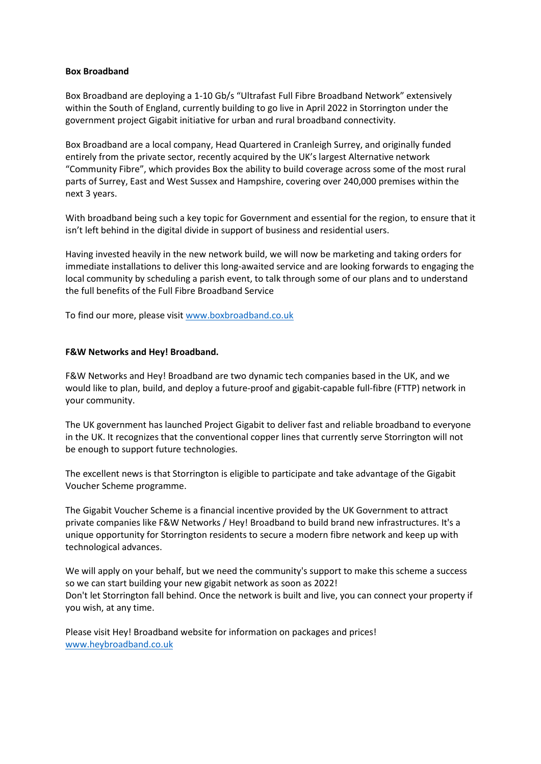## **Box Broadband**

Box Broadband are deploying a 1-10 Gb/s "Ultrafast Full Fibre Broadband Network" extensively within the South of England, currently building to go live in April 2022 in Storrington under the government project Gigabit initiative for urban and rural broadband connectivity.

Box Broadband are a local company, Head Quartered in Cranleigh Surrey, and originally funded entirely from the private sector, recently acquired by the UK's largest Alternative network "Community Fibre", which provides Box the ability to build coverage across some of the most rural parts of Surrey, East and West Sussex and Hampshire, covering over 240,000 premises within the next 3 years.

With broadband being such a key topic for Government and essential for the region, to ensure that it isn't left behind in the digital divide in support of business and residential users.

Having invested heavily in the new network build, we will now be marketing and taking orders for immediate installations to deliver this long-awaited service and are looking forwards to engaging the local community by scheduling a parish event, to talk through some of our plans and to understand the full benefits of the Full Fibre Broadband Service

To find our more, please visit [www.boxbroadband.co.uk](http://www.boxbroadband.co.uk/)

## **F&W Networks and Hey! Broadband.**

F&W Networks and Hey! Broadband are two dynamic tech companies based in the UK, and we would like to plan, build, and deploy a future-proof and gigabit-capable full-fibre (FTTP) network in your community.

The UK government has launched Project Gigabit to deliver fast and reliable broadband to everyone in the UK. It recognizes that the conventional copper lines that currently serve Storrington will not be enough to support future technologies.

The excellent news is that Storrington is eligible to participate and take advantage of the Gigabit Voucher Scheme programme.

The Gigabit Voucher Scheme is a financial incentive provided by the UK Government to attract private companies like F&W Networks / Hey! Broadband to build brand new infrastructures. It's a unique opportunity for Storrington residents to secure a modern fibre network and keep up with technological advances.

We will apply on your behalf, but we need the community's support to make this scheme a success so we can start building your new gigabit network as soon as 2022! Don't let Storrington fall behind. Once the network is built and live, you can connect your property if you wish, at any time.

Please visit Hey! Broadband website for information on packages and prices! [www.heybroadband.co.uk](http://www.heybroadband.co.uk/)